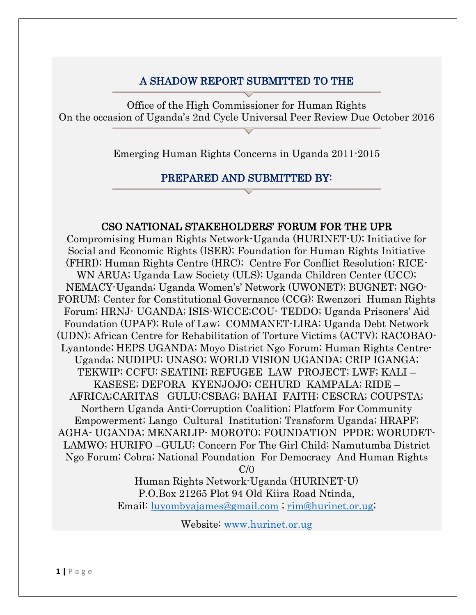### A SHADOW REPORT SUBMITTED TO THE

Office of the High Commissioner for Human Rights On the occasion of Uganda's 2nd Cycle Universal Peer Review Due October 2016

Emerging Human Rights Concerns in Uganda 2011-2015

#### PREPARED AND SUBMITTED BY:

#### CSO NATIONAL STAKEHOLDERS' FORUM FOR THE UPR

Compromising Human Rights Network-Uganda (HURINET-U); Initiative for Social and Economic Rights (ISER); Foundation for Human Rights Initiative (FHRI); Human Rights Centre (HRC); Centre For Conflict Resolution; RICE-WN ARUA; Uganda Law Society (ULS); Uganda Children Center (UCC); NEMACY-Uganda; Uganda Women's' Network (UWONET); BUGNET; NGO-FORUM; Center for Constitutional Governance (CCG); Rwenzori Human Rights Forum; HRNJ- UGANDA; ISIS-WICCE;COU- TEDDO; Uganda Prisoners' Aid Foundation (UPAF); Rule of Law; COMMANET-LIRA; Uganda Debt Network (UDN); African Centre for Rehabilitation of Torture Victims (ACTV); RACOBAO-Lyantonde; HEPS UGANDA; Moyo District Ngo Forum; Human Rights Centre-Uganda; NUDIPU; UNASO; WORLD VISION UGANDA; CRIP IGANGA; TEKWIP; CCFU; SEATINI; REFUGEE LAW PROJECT; LWF; KALI – KASESE; DEFORA KYENJOJO; CEHURD KAMPALA; RIDE – AFRICA;CARITAS GULU;CSBAG; BAHAI FAITH; CESCRA; COUPSTA; Northern Uganda Anti-Corruption Coalition; Platform For Community Empowerment; Lango Cultural Institution; Transform Uganda; HRAPF; AGHA- UGANDA; MENARLIP- MOROTO; FOUNDATION PPDR; WORUDET-LAMWO; HURIFO –GULU; Concern For The Girl Child; Namutumba District Ngo Forum; Cobra; National Foundation For Democracy And Human Rights  $C/0$ 

> Human Rights Network-Uganda (HURINET-U) P.O.Box 21265 Plot 94 Old Kiira Road Ntinda, Email: [luyombyajames@gmail.com](mailto:luyombyajames@gmail.com) ; [rim@hurinet.or.ug;](mailto:rim@hurinet.or.ug)

> > Website: [www.hurinet.or.ug](http://www.hurinet.or.ug/)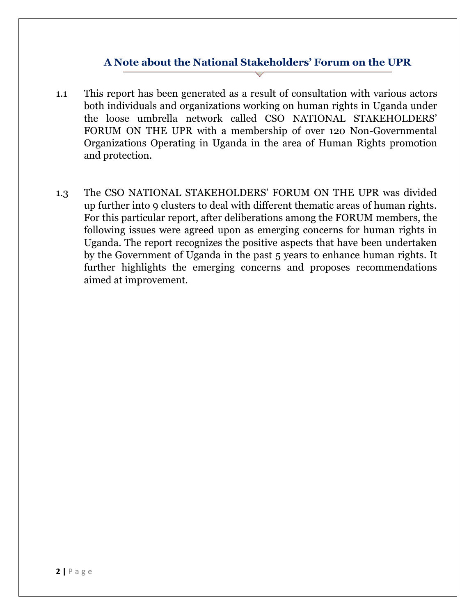#### **A Note about the National Stakeholders' Forum on the UPR**

- 1.1 This report has been generated as a result of consultation with various actors both individuals and organizations working on human rights in Uganda under the loose umbrella network called CSO NATIONAL STAKEHOLDERS' FORUM ON THE UPR with a membership of over 120 Non-Governmental Organizations Operating in Uganda in the area of Human Rights promotion and protection.
- 1.3 The CSO NATIONAL STAKEHOLDERS' FORUM ON THE UPR was divided up further into 9 clusters to deal with different thematic areas of human rights. For this particular report, after deliberations among the FORUM members, the following issues were agreed upon as emerging concerns for human rights in Uganda. The report recognizes the positive aspects that have been undertaken by the Government of Uganda in the past 5 years to enhance human rights. It further highlights the emerging concerns and proposes recommendations aimed at improvement.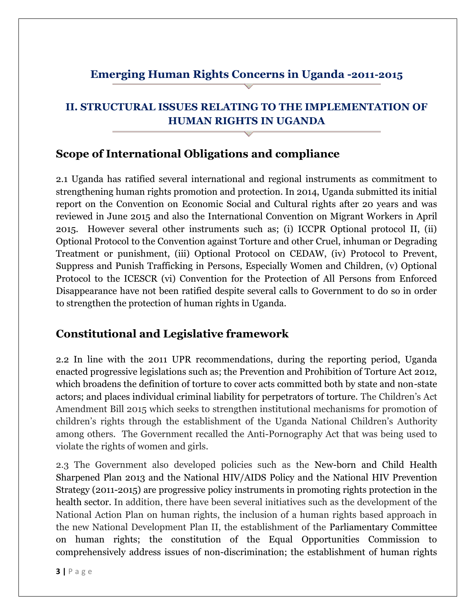# **Emerging Human Rights Concerns in Uganda -2011-2015**

# **II. STRUCTURAL ISSUES RELATING TO THE IMPLEMENTATION OF HUMAN RIGHTS IN UGANDA**

## **Scope of International Obligations and compliance**

2.1 Uganda has ratified several international and regional instruments as commitment to strengthening human rights promotion and protection. In 2014, Uganda submitted its initial report on the Convention on Economic Social and Cultural rights after 20 years and was reviewed in June 2015 and also the International Convention on Migrant Workers in April 2015. However several other instruments such as; (i) ICCPR Optional protocol II, (ii) Optional Protocol to the Convention against Torture and other Cruel, inhuman or Degrading Treatment or punishment, (iii) Optional Protocol on CEDAW, (iv) Protocol to Prevent, Suppress and Punish Trafficking in Persons, Especially Women and Children, (v) Optional Protocol to the ICESCR (vi) Convention for the Protection of All Persons from Enforced Disappearance have not been ratified despite several calls to Government to do so in order to strengthen the protection of human rights in Uganda.

# **Constitutional and Legislative framework**

2.2 In line with the 2011 UPR recommendations, during the reporting period, Uganda enacted progressive legislations such as; the Prevention and Prohibition of Torture Act 2012, which broadens the definition of torture to cover acts committed both by state and non-state actors; and places individual criminal liability for perpetrators of torture. The Children's Act Amendment Bill 2015 which seeks to strengthen institutional mechanisms for promotion of children's rights through the establishment of the Uganda National Children's Authority among others. The Government recalled the Anti-Pornography Act that was being used to violate the rights of women and girls.

2.3 The Government also developed policies such as the New-born and Child Health Sharpened Plan 2013 and the National HIV/AIDS Policy and the National HIV Prevention Strategy (2011-2015) are progressive policy instruments in promoting rights protection in the health sector. In addition, there have been several initiatives such as the development of the National Action Plan on human rights, the inclusion of a human rights based approach in the new National Development Plan II, the establishment of the Parliamentary Committee on human rights; the constitution of the Equal Opportunities Commission to comprehensively address issues of non-discrimination; the establishment of human rights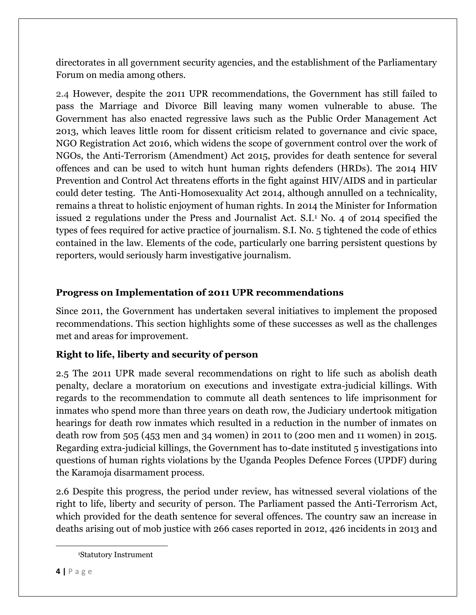directorates in all government security agencies, and the establishment of the Parliamentary Forum on media among others.

2.4 However, despite the 2011 UPR recommendations, the Government has still failed to pass the Marriage and Divorce Bill leaving many women vulnerable to abuse. The Government has also enacted regressive laws such as the Public Order Management Act 2013, which leaves little room for dissent criticism related to governance and civic space, NGO Registration Act 2016, which widens the scope of government control over the work of NGOs, the Anti-Terrorism (Amendment) Act 2015, provides for death sentence for several offences and can be used to witch hunt human rights defenders (HRDs). The 2014 HIV Prevention and Control Act threatens efforts in the fight against HIV/AIDS and in particular could deter testing. The Anti-Homosexuality Act 2014, although annulled on a technicality, remains a threat to holistic enjoyment of human rights. In 2014 the Minister for Information issued 2 regulations under the Press and Journalist Act. S.I.<sup>1</sup> No. 4 of 2014 specified the types of fees required for active practice of journalism. S.I. No. 5 tightened the code of ethics contained in the law. Elements of the code, particularly one barring persistent questions by reporters, would seriously harm investigative journalism.

#### **Progress on Implementation of 2011 UPR recommendations**

Since 2011, the Government has undertaken several initiatives to implement the proposed recommendations. This section highlights some of these successes as well as the challenges met and areas for improvement.

### **Right to life, liberty and security of person**

2.5 The 2011 UPR made several recommendations on right to life such as abolish death penalty, declare a moratorium on executions and investigate extra-judicial killings. With regards to the recommendation to commute all death sentences to life imprisonment for inmates who spend more than three years on death row, the Judiciary undertook mitigation hearings for death row inmates which resulted in a reduction in the number of inmates on death row from 505 (453 men and 34 women) in 2011 to (200 men and 11 women) in 2015. Regarding extra-judicial killings, the Government has to-date instituted 5 investigations into questions of human rights violations by the Uganda Peoples Defence Forces (UPDF) during the Karamoja disarmament process.

2.6 Despite this progress, the period under review, has witnessed several violations of the right to life, liberty and security of person. The Parliament passed the Anti-Terrorism Act, which provided for the death sentence for several offences. The country saw an increase in deaths arising out of mob justice with 266 cases reported in 2012, 426 incidents in 2013 and

<sup>1</sup>Statutory Instrument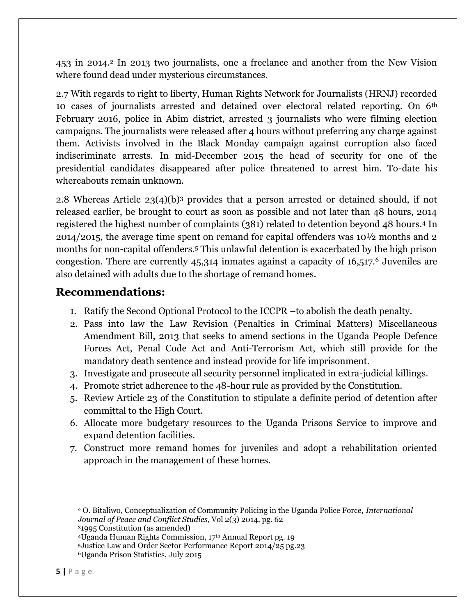453 in 2014.<sup>2</sup> In 2013 two journalists, one a freelance and another from the New Vision where found dead under mysterious circumstances.

2.7 With regards to right to liberty, Human Rights Network for Journalists (HRNJ) recorded 10 cases of journalists arrested and detained over electoral related reporting. On 6th February 2016, police in Abim district, arrested 3 journalists who were filming election campaigns. The journalists were released after 4 hours without preferring any charge against them. Activists involved in the Black Monday campaign against corruption also faced indiscriminate arrests. In mid-December 2015 the head of security for one of the presidential candidates disappeared after police threatened to arrest him. To-date his whereabouts remain unknown.

2.8 Whereas Article 23(4)(b)<sup>3</sup> provides that a person arrested or detained should, if not released earlier, be brought to court as soon as possible and not later than 48 hours, 2014 registered the highest number of complaints (381) related to detention beyond 48 hours.<sup>4</sup> In 2014/2015, the average time spent on remand for capital offenders was 10½ months and 2 months for non-capital offenders.<sup>5</sup> This unlawful detention is exacerbated by the high prison congestion. There are currently 45,314 inmates against a capacity of 16,517.<sup>6</sup> Juveniles are also detained with adults due to the shortage of remand homes.

### **Recommendations:**

- 1. Ratify the Second Optional Protocol to the ICCPR –to abolish the death penalty.
- 2. Pass into law the Law Revision (Penalties in Criminal Matters) Miscellaneous Amendment Bill, 2013 that seeks to amend sections in the Uganda People Defence Forces Act, Penal Code Act and Anti-Terrorism Act, which still provide for the mandatory death sentence and instead provide for life imprisonment.
- 3. Investigate and prosecute all security personnel implicated in extra-judicial killings.
- 4. Promote strict adherence to the 48-hour rule as provided by the Constitution.
- 5. Review Article 23 of the Constitution to stipulate a definite period of detention after committal to the High Court.
- 6. Allocate more budgetary resources to the Uganda Prisons Service to improve and expand detention facilities.
- 7. Construct more remand homes for juveniles and adopt a rehabilitation oriented approach in the management of these homes.

<sup>2</sup> O. Bitaliwo, Conceptualization of Community Policing in the Uganda Police Force, *International Journal of Peace and Conflict Studies*, Vol 2(3) 2014, pg. 62 <sup>3</sup>1995 Constitution (as amended)

<sup>4</sup>Uganda Human Rights Commission, 17th Annual Report pg. 19 <sup>5</sup>Justice Law and Order Sector Performance Report 2014/25 pg.23

<sup>6</sup>Uganda Prison Statistics, July 2015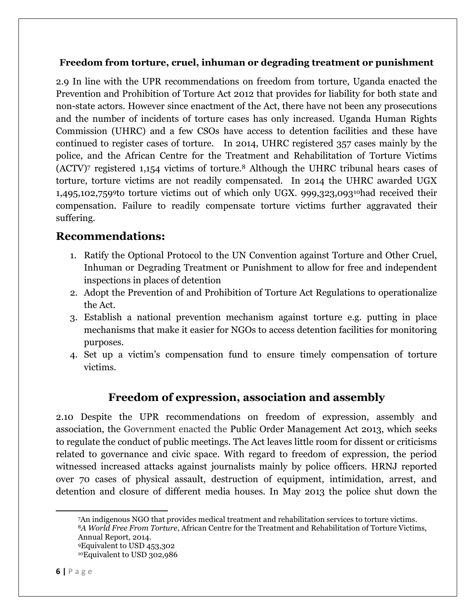#### **Freedom from torture, cruel, inhuman or degrading treatment or punishment**

2.9 In line with the UPR recommendations on freedom from torture, Uganda enacted the Prevention and Prohibition of Torture Act 2012 that provides for liability for both state and non-state actors. However since enactment of the Act, there have not been any prosecutions and the number of incidents of torture cases has only increased. Uganda Human Rights Commission (UHRC) and a few CSOs have access to detention facilities and these have continued to register cases of torture. In 2014, UHRC registered 357 cases mainly by the police, and the African Centre for the Treatment and Rehabilitation of Torture Victims (ACTV)<sup>7</sup> registered 1,154 victims of torture.<sup>8</sup> Although the UHRC tribunal hears cases of torture, torture victims are not readily compensated. In 2014 the UHRC awarded UGX 1,495,102,7599to torture victims out of which only UGX. 999,323,09310had received their compensation. Failure to readily compensate torture victims further aggravated their suffering.

### **Recommendations:**

- 1. Ratify the Optional Protocol to the UN Convention against Torture and Other Cruel, Inhuman or Degrading Treatment or Punishment to allow for free and independent inspections in places of detention
- 2. Adopt the Prevention of and Prohibition of Torture Act Regulations to operationalize the Act.
- 3. Establish a national prevention mechanism against torture e.g. putting in place mechanisms that make it easier for NGOs to access detention facilities for monitoring purposes.
- 4. Set up a victim's compensation fund to ensure timely compensation of torture victims.

## **Freedom of expression, association and assembly**

2.10 Despite the UPR recommendations on freedom of expression, assembly and association, the Government enacted the Public Order Management Act 2013, which seeks to regulate the conduct of public meetings. The Act leaves little room for dissent or criticisms related to governance and civic space. With regard to freedom of expression, the period witnessed increased attacks against journalists mainly by police officers. HRNJ reported over 70 cases of physical assault, destruction of equipment, intimidation, arrest, and detention and closure of different media houses. In May 2013 the police shut down the

An indigenous NGO that provides medical treatment and rehabilitation services to torture victims. *A World Free From Torture*, African Centre for the Treatment and Rehabilitation of Torture Victims, Annual Report, 2014. Equivalent to USD 453,302 Equivalent to USD 302,986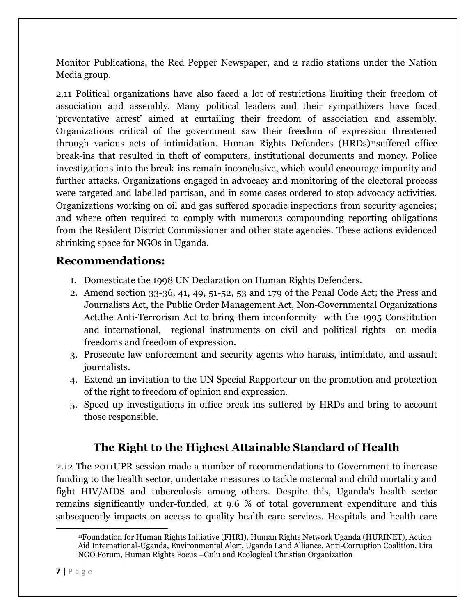Monitor Publications, the Red Pepper Newspaper, and 2 radio stations under the Nation Media group.

2.11 Political organizations have also faced a lot of restrictions limiting their freedom of association and assembly. Many political leaders and their sympathizers have faced 'preventative arrest' aimed at curtailing their freedom of association and assembly. Organizations critical of the government saw their freedom of expression threatened through various acts of intimidation. Human Rights Defenders (HRDs)<sup>11</sup>suffered office break-ins that resulted in theft of computers, institutional documents and money. Police investigations into the break-ins remain inconclusive, which would encourage impunity and further attacks. Organizations engaged in advocacy and monitoring of the electoral process were targeted and labelled partisan, and in some cases ordered to stop advocacy activities. Organizations working on oil and gas suffered sporadic inspections from security agencies; and where often required to comply with numerous compounding reporting obligations from the Resident District Commissioner and other state agencies. These actions evidenced shrinking space for NGOs in Uganda.

### **Recommendations:**

- 1. Domesticate the 1998 UN Declaration on Human Rights Defenders.
- 2. Amend section 33-36, 41, 49, 51-52, 53 and 179 of the Penal Code Act; the Press and Journalists Act, the Public Order Management Act, Non-Governmental Organizations Act,the Anti-Terrorism Act to bring them inconformity with the 1995 Constitution and international, regional instruments on civil and political rights on media freedoms and freedom of expression.
- 3. Prosecute law enforcement and security agents who harass, intimidate, and assault journalists.
- 4. Extend an invitation to the UN Special Rapporteur on the promotion and protection of the right to freedom of opinion and expression.
- 5. Speed up investigations in office break-ins suffered by HRDs and bring to account those responsible.

# **The Right to the Highest Attainable Standard of Health**

2.12 The 2011UPR session made a number of recommendations to Government to increase funding to the health sector, undertake measures to tackle maternal and child mortality and fight HIV/AIDS and tuberculosis among others. Despite this, Uganda's health sector remains significantly under-funded, at 9.6 % of total government expenditure and this subsequently impacts on access to quality health care services. Hospitals and health care

l

<sup>11</sup>Foundation for Human Rights Initiative (FHRI), Human Rights Network Uganda (HURINET), Action Aid International-Uganda, Environmental Alert, Uganda Land Alliance, Anti-Corruption Coalition, Lira NGO Forum, Human Rights Focus –Gulu and Ecological Christian Organization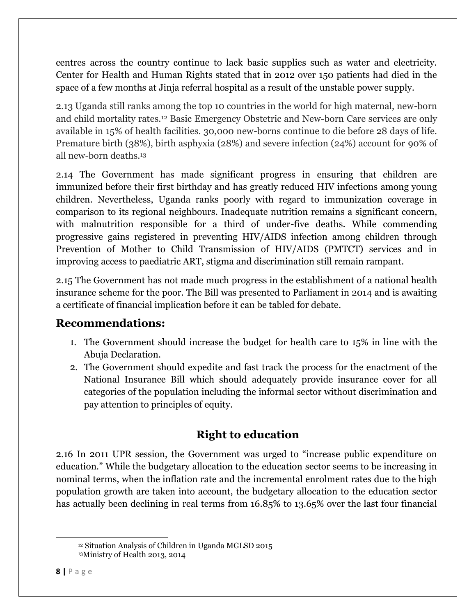centres across the country continue to lack basic supplies such as water and electricity. Center for Health and Human Rights stated that in 2012 over 150 patients had died in the space of a few months at Jinja referral hospital as a result of the unstable power supply.

2.13 Uganda still ranks among the top 10 countries in the world for high maternal, new-born and child mortality rates.<sup>12</sup> Basic Emergency Obstetric and New-born Care services are only available in 15% of health facilities. 30,000 new-borns continue to die before 28 days of life. Premature birth (38%), birth asphyxia (28%) and severe infection (24%) account for 90% of all new-born deaths.<sup>13</sup>

2.14 The Government has made significant progress in ensuring that children are immunized before their first birthday and has greatly reduced HIV infections among young children. Nevertheless, Uganda ranks poorly with regard to immunization coverage in comparison to its regional neighbours. Inadequate nutrition remains a significant concern, with malnutrition responsible for a third of under-five deaths. While commending progressive gains registered in preventing HIV/AIDS infection among children through Prevention of Mother to Child Transmission of HIV/AIDS (PMTCT) services and in improving access to paediatric ART, stigma and discrimination still remain rampant.

2.15 The Government has not made much progress in the establishment of a national health insurance scheme for the poor. The Bill was presented to Parliament in 2014 and is awaiting a certificate of financial implication before it can be tabled for debate.

## **Recommendations:**

- 1. The Government should increase the budget for health care to 15% in line with the Abuja Declaration.
- 2. The Government should expedite and fast track the process for the enactment of the National Insurance Bill which should adequately provide insurance cover for all categories of the population including the informal sector without discrimination and pay attention to principles of equity.

# **Right to education**

2.16 In 2011 UPR session, the Government was urged to "increase public expenditure on education." While the budgetary allocation to the education sector seems to be increasing in nominal terms, when the inflation rate and the incremental enrolment rates due to the high population growth are taken into account, the budgetary allocation to the education sector has actually been declining in real terms from 16.85% to 13.65% over the last four financial

<sup>12</sup> Situation Analysis of Children in Uganda MGLSD 2015 13Ministry of Health 2013, 2014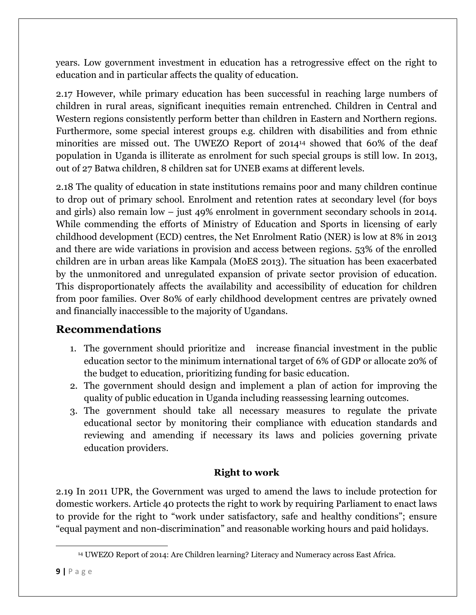years. Low government investment in education has a retrogressive effect on the right to education and in particular affects the quality of education.

2.17 However, while primary education has been successful in reaching large numbers of children in rural areas, significant inequities remain entrenched. Children in Central and Western regions consistently perform better than children in Eastern and Northern regions. Furthermore, some special interest groups e.g. children with disabilities and from ethnic minorities are missed out. The UWEZO Report of 2014<sup>14</sup> showed that 60% of the deaf population in Uganda is illiterate as enrolment for such special groups is still low. In 2013, out of 27 Batwa children, 8 children sat for UNEB exams at different levels.

2.18 The quality of education in state institutions remains poor and many children continue to drop out of primary school. Enrolment and retention rates at secondary level (for boys and girls) also remain low – just 49% enrolment in government secondary schools in 2014. While commending the efforts of Ministry of Education and Sports in licensing of early childhood development (ECD) centres, the Net Enrolment Ratio (NER) is low at 8% in 2013 and there are wide variations in provision and access between regions. 53% of the enrolled children are in urban areas like Kampala (MoES 2013). The situation has been exacerbated by the unmonitored and unregulated expansion of private sector provision of education. This disproportionately affects the availability and accessibility of education for children from poor families. Over 80% of early childhood development centres are privately owned and financially inaccessible to the majority of Ugandans.

## **Recommendations**

- 1. The government should prioritize and increase financial investment in the public education sector to the minimum international target of 6% of GDP or allocate 20% of the budget to education, prioritizing funding for basic education.
- 2. The government should design and implement a plan of action for improving the quality of public education in Uganda including reassessing learning outcomes.
- 3. The government should take all necessary measures to regulate the private educational sector by monitoring their compliance with education standards and reviewing and amending if necessary its laws and policies governing private education providers.

### **Right to work**

2.19 In 2011 UPR, the Government was urged to amend the laws to include protection for domestic workers. Article 40 protects the right to work by requiring Parliament to enact laws to provide for the right to "work under satisfactory, safe and healthy conditions"; ensure "equal payment and non-discrimination" and reasonable working hours and paid holidays.

<sup>14</sup> UWEZO Report of 2014: Are Children learning? Literacy and Numeracy across East Africa.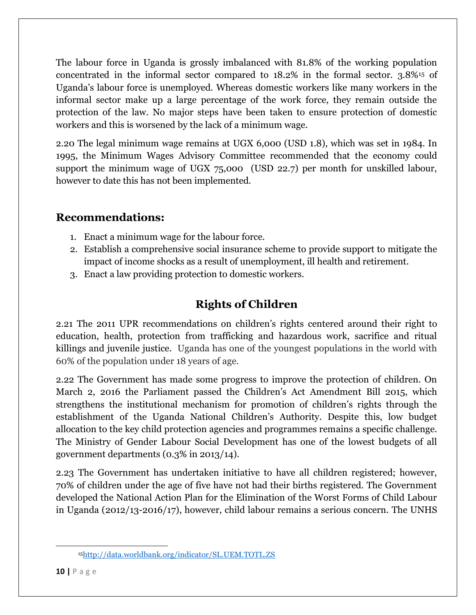The labour force in Uganda is grossly imbalanced with 81.8% of the working population concentrated in the informal sector compared to 18.2% in the formal sector. 3.8%<sup>15</sup> of Uganda's labour force is unemployed. Whereas domestic workers like many workers in the informal sector make up a large percentage of the work force, they remain outside the protection of the law. No major steps have been taken to ensure protection of domestic workers and this is worsened by the lack of a minimum wage.

2.20 The legal minimum wage remains at UGX 6,000 (USD 1.8), which was set in 1984. In 1995, the Minimum Wages Advisory Committee recommended that the economy could support the minimum wage of UGX 75,000 (USD 22.7) per month for unskilled labour, however to date this has not been implemented.

# **Recommendations:**

- 1. Enact a minimum wage for the labour force.
- 2. Establish a comprehensive social insurance scheme to provide support to mitigate the impact of income shocks as a result of unemployment, ill health and retirement.
- 3. Enact a law providing protection to domestic workers.

# **Rights of Children**

2.21 The 2011 UPR recommendations on children's rights centered around their right to education, health, protection from trafficking and hazardous work, sacrifice and ritual killings and juvenile justice. Uganda has one of the youngest populations in the world with 60% of the population under 18 years of age.

2.22 The Government has made some progress to improve the protection of children. On March 2, 2016 the Parliament passed the Children's Act Amendment Bill 2015, which strengthens the institutional mechanism for promotion of children's rights through the establishment of the Uganda National Children's Authority. Despite this, low budget allocation to the key child protection agencies and programmes remains a specific challenge. The Ministry of Gender Labour Social Development has one of the lowest budgets of all government departments (0.3% in 2013/14).

2.23 The Government has undertaken initiative to have all children registered; however, 70% of children under the age of five have not had their births registered. The Government developed the National Action Plan for the Elimination of the Worst Forms of Child Labour in Uganda (2012/13-2016/17), however, child labour remains a serious concern. The UNHS

<sup>15</sup><http://data.worldbank.org/indicator/SL.UEM.TOTL.ZS>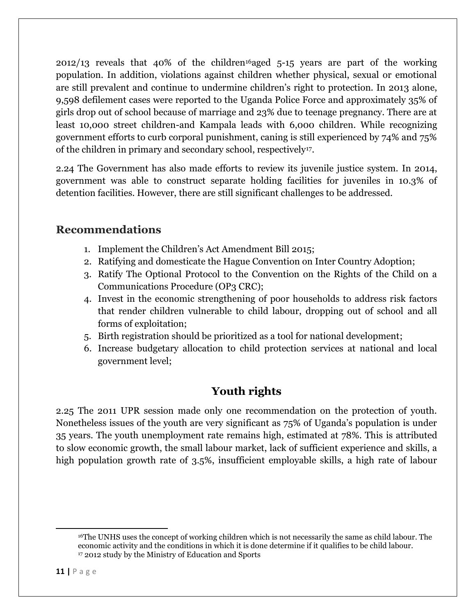$2012/13$  reveals that  $40\%$  of the children<sup>16</sup>aged 5-15 years are part of the working population. In addition, violations against children whether physical, sexual or emotional are still prevalent and continue to undermine children's right to protection. In 2013 alone, 9,598 defilement cases were reported to the Uganda Police Force and approximately 35% of girls drop out of school because of marriage and 23% due to teenage pregnancy. There are at least 10,000 street children-and Kampala leads with 6,000 children. While recognizing government efforts to curb corporal punishment, caning is still experienced by 74% and 75% of the children in primary and secondary school, respectively17.

2.24 The Government has also made efforts to review its juvenile justice system. In 2014, government was able to construct separate holding facilities for juveniles in 10.3% of detention facilities. However, there are still significant challenges to be addressed.

# **Recommendations**

- 1. Implement the Children's Act Amendment Bill 2015;
- 2. Ratifying and domesticate the Hague Convention on Inter Country Adoption;
- 3. Ratify The Optional Protocol to the Convention on the Rights of the Child on a Communications Procedure (OP3 CRC);
- 4. Invest in the economic strengthening of poor households to address risk factors that render children vulnerable to child labour, dropping out of school and all forms of exploitation;
- 5. Birth registration should be prioritized as a tool for national development;
- 6. Increase budgetary allocation to child protection services at national and local government level;

# **Youth rights**

2.25 The 2011 UPR session made only one recommendation on the protection of youth. Nonetheless issues of the youth are very significant as 75% of Uganda's population is under 35 years. The youth unemployment rate remains high, estimated at 78%. This is attributed to slow economic growth, the small labour market, lack of sufficient experience and skills, a high population growth rate of 3.5%, insufficient employable skills, a high rate of labour

l

<sup>16</sup>The UNHS uses the concept of working children which is not necessarily the same as child labour. The economic activity and the conditions in which it is done determine if it qualifies to be child labour. <sup>17</sup> 2012 study by the Ministry of Education and Sports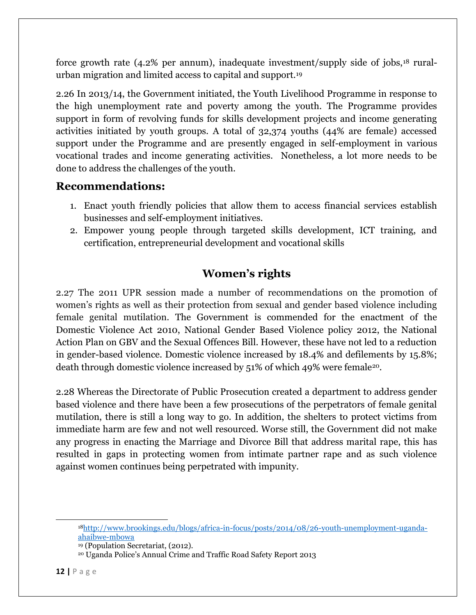force growth rate (4.2% per annum), inadequate investment/supply side of jobs,<sup>18</sup> ruralurban migration and limited access to capital and support.<sup>19</sup>

2.26 In 2013/14, the Government initiated, the Youth Livelihood Programme in response to the high unemployment rate and poverty among the youth. The Programme provides support in form of revolving funds for skills development projects and income generating activities initiated by youth groups. A total of 32,374 youths (44% are female) accessed support under the Programme and are presently engaged in self-employment in various vocational trades and income generating activities. Nonetheless, a lot more needs to be done to address the challenges of the youth.

## **Recommendations:**

- 1. Enact youth friendly policies that allow them to access financial services establish businesses and self-employment initiatives.
- 2. Empower young people through targeted skills development, ICT training, and certification, entrepreneurial development and vocational skills

## **Women's rights**

2.27 The 2011 UPR session made a number of recommendations on the promotion of women's rights as well as their protection from sexual and gender based violence including female genital mutilation. The Government is commended for the enactment of the Domestic Violence Act 2010, National Gender Based Violence policy 2012, the National Action Plan on GBV and the Sexual Offences Bill. However, these have not led to a reduction in gender-based violence. Domestic violence increased by 18.4% and defilements by 15.8%; death through domestic violence increased by 51% of which 49% were female<sup>20</sup>.

2.28 Whereas the Directorate of Public Prosecution created a department to address gender based violence and there have been a few prosecutions of the perpetrators of female genital mutilation, there is still a long way to go. In addition, the shelters to protect victims from immediate harm are few and not well resourced. Worse still, the Government did not make any progress in enacting the Marriage and Divorce Bill that address marital rape, this has resulted in gaps in protecting women from intimate partner rape and as such violence against women continues being perpetrated with impunity.

 $\overline{a}$ 

<sup>18</sup>[http://www.brookings.edu/blogs/africa-in-focus/posts/2014/08/26-youth-unemployment-uganda](http://www.brookings.edu/blogs/africa-in-focus/posts/2014/08/26-youth-unemployment-uganda-ahaibwe-mbowa)[ahaibwe-mbowa](http://www.brookings.edu/blogs/africa-in-focus/posts/2014/08/26-youth-unemployment-uganda-ahaibwe-mbowa)

<sup>19</sup> (Population Secretariat, (2012).

<sup>20</sup> Uganda Police's Annual Crime and Traffic Road Safety Report 2013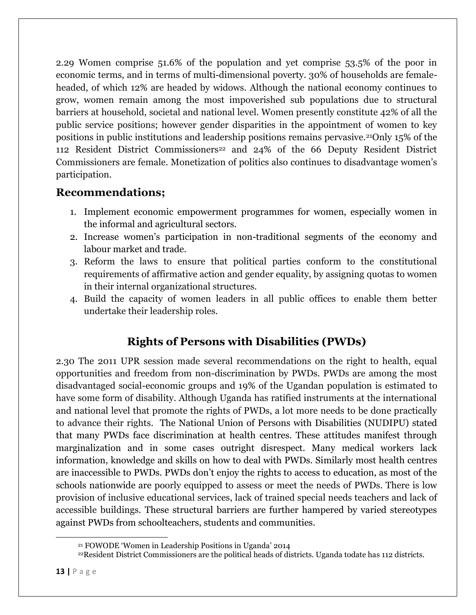2.29 Women comprise 51.6% of the population and yet comprise 53.5% of the poor in economic terms, and in terms of multi-dimensional poverty. 30% of households are femaleheaded, of which 12% are headed by widows. Although the national economy continues to grow, women remain among the most impoverished sub populations due to structural barriers at household, societal and national level. Women presently constitute 42% of all the public service positions; however gender disparities in the appointment of women to key positions in public institutions and leadership positions remains pervasive.21Only 15% of the 112 Resident District Commissioners<sup>22</sup> and 24% of the 66 Deputy Resident District Commissioners are female. Monetization of politics also continues to disadvantage women's participation.

### **Recommendations;**

- 1. Implement economic empowerment programmes for women, especially women in the informal and agricultural sectors.
- 2. Increase women's participation in non-traditional segments of the economy and labour market and trade.
- 3. Reform the laws to ensure that political parties conform to the constitutional requirements of affirmative action and gender equality, by assigning quotas to women in their internal organizational structures.
- 4. Build the capacity of women leaders in all public offices to enable them better undertake their leadership roles.

# **Rights of Persons with Disabilities (PWDs)**

2.30 The 2011 UPR session made several recommendations on the right to health, equal opportunities and freedom from non-discrimination by PWDs. PWDs are among the most disadvantaged social-economic groups and 19% of the Ugandan population is estimated to have some form of disability. Although Uganda has ratified instruments at the international and national level that promote the rights of PWDs, a lot more needs to be done practically to advance their rights. The National Union of Persons with Disabilities (NUDIPU) stated that many PWDs face discrimination at health centres. These attitudes manifest through marginalization and in some cases outright disrespect. Many medical workers lack information, knowledge and skills on how to deal with PWDs. Similarly most health centres are inaccessible to PWDs. PWDs don't enjoy the rights to access to education, as most of the schools nationwide are poorly equipped to assess or meet the needs of PWDs. There is low provision of inclusive educational services, lack of trained special needs teachers and lack of accessible buildings. These structural barriers are further hampered by varied stereotypes against PWDs from schoolteachers, students and communities.

<sup>21</sup> FOWODE 'Women in Leadership Positions in Uganda' 2014

<sup>22</sup>Resident District Commissioners are the political heads of districts. Uganda todate has 112 districts.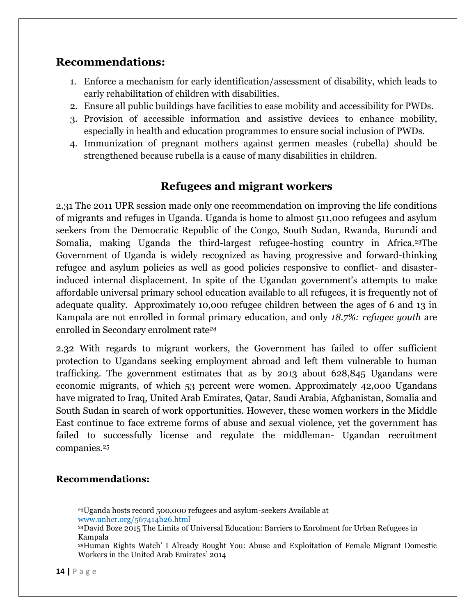### **Recommendations:**

- 1. Enforce a mechanism for early identification/assessment of disability, which leads to early rehabilitation of children with disabilities.
- 2. Ensure all public buildings have facilities to ease mobility and accessibility for PWDs.
- 3. Provision of accessible information and assistive devices to enhance mobility, especially in health and education programmes to ensure social inclusion of PWDs.
- 4. Immunization of pregnant mothers against germen measles (rubella) should be strengthened because rubella is a cause of many disabilities in children.

# **Refugees and migrant workers**

2.31 The 2011 UPR session made only one recommendation on improving the life conditions of migrants and refuges in Uganda. Uganda is home to almost 511,000 refugees and asylum seekers from the Democratic Republic of the Congo, South Sudan, Rwanda, Burundi and Somalia, making Uganda the third-largest refugee-hosting country in Africa.<sup>23</sup>The Government of Uganda is widely recognized as having progressive and forward-thinking refugee and asylum policies as well as good policies responsive to conflict- and disasterinduced internal displacement. In spite of the Ugandan government's attempts to make affordable universal primary school education available to all refugees, it is frequently not of adequate quality. Approximately 10,000 refugee children between the ages of 6 and 13 in Kampala are not enrolled in formal primary education, and only *18.7%: refugee youth* are enrolled in Secondary enrolment rate*<sup>24</sup>*

2.32 With regards to migrant workers, the Government has failed to offer sufficient protection to Ugandans seeking employment abroad and left them vulnerable to human trafficking. The government estimates that as by 2013 about 628,845 Ugandans were economic migrants, of which 53 percent were women. Approximately 42,000 Ugandans have migrated to Iraq, United Arab Emirates, Qatar, Saudi Arabia, Afghanistan, Somalia and South Sudan in search of work opportunities. However, these women workers in the Middle East continue to face extreme forms of abuse and sexual violence, yet the government has failed to successfully license and regulate the middleman- Ugandan recruitment companies.<sup>25</sup>

#### **Recommendations:**

<sup>23</sup>Uganda hosts record 500,000 refugees and asylum-seekers Available at [www.unhcr.org/567414b26.html](http://www.unhcr.org/567414b26.html)

<sup>24</sup>David Boze 2015 The Limits of Universal Education: Barriers to Enrolment for Urban Refugees in Kampala

<sup>25</sup>Human Rights Watch' I Already Bought You: Abuse and Exploitation of Female Migrant Domestic Workers in the United Arab Emirates' 2014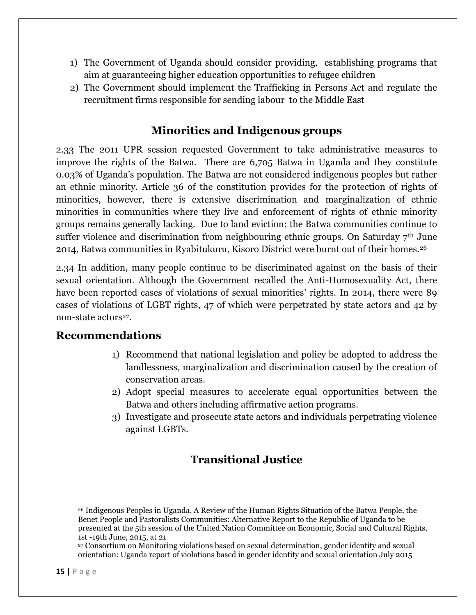- 1) The Government of Uganda should consider providing, establishing programs that aim at guaranteeing higher education opportunities to refugee children
- 2) The Government should implement the Trafficking in Persons Act and regulate the recruitment firms responsible for sending labour to the Middle East

### **Minorities and Indigenous groups**

2.33 The 2011 UPR session requested Government to take administrative measures to improve the rights of the Batwa. There are 6,705 Batwa in Uganda and they constitute 0.03% of Uganda's population. The Batwa are not considered indigenous peoples but rather an ethnic minority. Article 36 of the constitution provides for the protection of rights of minorities, however, there is extensive discrimination and marginalization of ethnic minorities in communities where they live and enforcement of rights of ethnic minority groups remains generally lacking. Due to land eviction; the Batwa communities continue to suffer violence and discrimination from neighbouring ethnic groups. On Saturday 7<sup>th</sup> June 2014, Batwa communities in Ryabitukuru, Kisoro District were burnt out of their homes.<sup>26</sup>

2.34 In addition, many people continue to be discriminated against on the basis of their sexual orientation. Although the Government recalled the Anti-Homosexuality Act, there have been reported cases of violations of sexual minorities' rights. In 2014, there were 89 cases of violations of LGBT rights, 47 of which were perpetrated by state actors and 42 by non-state actors<sup>27</sup>.

### **Recommendations**

- 1) Recommend that national legislation and policy be adopted to address the landlessness, marginalization and discrimination caused by the creation of conservation areas.
- 2) Adopt special measures to accelerate equal opportunities between the Batwa and others including affirmative action programs.
- 3) Investigate and prosecute state actors and individuals perpetrating violence against LGBTs.

## **Transitional Justice**

<sup>26</sup> Indigenous Peoples in Uganda. A Review of the Human Rights Situation of the Batwa People, the Benet People and Pastoralists Communities: Alternative Report to the Republic of Uganda to be presented at the 5th session of the United Nation Committee on Economic, Social and Cultural Rights, 1st -19th June, 2015, at 21

<sup>27</sup> Consortium on Monitoring violations based on sexual determination, gender identity and sexual orientation: Uganda report of violations based in gender identity and sexual orientation July 2015